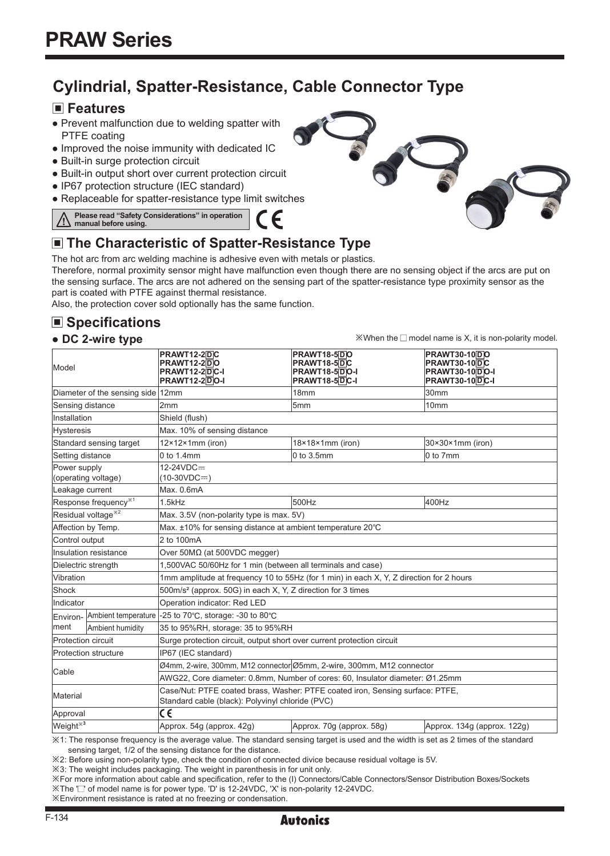## **Cylindrial, Spatter-Resistance, Cable Connector Type**

C E

### **Features**

- Prevent malfunction due to welding spatter with PTFE coating
- Improved the noise immunity with dedicated IC
- Built-in surge protection circuit
- Built-in output short over current protection circuit
- IP67 protection structure (IEC standard)
- Replaceable for spatter-resistance type limit switches

**Please read "Safety Considerations" in operation manual before using.**

## **The Characteristic of Spatter-Resistance Type**

The hot arc from arc welding machine is adhesive even with metals or plastics.

Therefore, normal proximity sensor might have malfunction even though there are no sensing object if the arcs are put on the sensing surface. The arcs are not adhered on the sensing part of the spatter-resistance type proximity sensor as the part is coated with PTFE against thermal resistance.

Also, the protection cover sold optionally has the same function.

## **Specifications**

#### **● DC 2-wire type**

**PRAWT12-2** D **C PRAWT18-5** D **O PRAWT30-10** D **O PRAWT30-10** DC **PRAWT18-5** D **C PRAWT12-2** D **O PRAWT12-2** D **C-I PRAWT12-2** D **O-I** Model **PRAWT18-5** D **O-I PRAWT30-10** D **O-I PRAWT18-5** D **C-I PRAWT30-10** D **C-I**  Diameter of the sensing side 12mm 18mm 30mm 30mm 30mm Sensing distance 2mm 2mm  $5mm$  5mm 10mm Installation Shield (flush) Hysteresis Max. 10% of sensing distance Standard sensing target  $12\times12\times1$ mm (iron) 18×18×1mm (iron) 30×30×1mm (iron) Setting distance  $\begin{array}{ccc} \text{0 to 1.4mm} \end{array}$  0 to 1.4mm  $\begin{array}{ccc} \text{0 to 3.5mm} \end{array}$  0 to 7mm  $12-24VDC=$ Power supply  $(10-30VDC =$ (operating voltage) eakage current Max. 0.6mA Response frequency<sup>※1</sup> 2.5kHz 500Hz 500Hz 400Hz Residual voltage<sup> $\frac{1}{2}$ </sup> Max. 3.5V (non-polarity type is max. 5V) Affection by Temp. Max. ±10% for sensing distance at ambient temperature 20℃ Control output 2 to 100mA Insulation resistance | Ονer 50ΜΩ (at 500VDC megger) Dielectric strength 1,500VAC 50/60Hz for 1 min (between all terminals and case) Vibration 1mm amplitude at frequency 10 to 55Hz (for 1 min) in each X, Y, Z direction for 2 hours Shock 500m/s² (approx. 50G) in each X, Y, Z direction for 3 times Indicator | Operation indicator: Red LED Ambient temperature -25 to 70℃, storage: -30 to 80℃ Environment Ambient humidity 35 to 95%RH, storage: 35 to 95%RH Protection circuit Surge protection circuit, output short over current protection circuit Protection structure |IP67 (IEC standard) Cable Ø4mm, 2-wire, 300mm, M12 connector Ø5mm, 2-wire, 300mm, M12 connector AWG22, Core diameter: 0.8mm, Number of cores: 60, Insulator diameter: Ø1.25mm Material Case/Nut: PTFE coated brass, Washer: PTFE coated iron, Sensing surface: PTFE, Standard cable (black): Polyvinyl chloride (PVC) Approval κ€ Weight※**<sup>3</sup>** Approx. 54g (approx. 42g) Approx. 70g (approx. 58g) Approx. 134g (approx. 122g)

※1: The response frequency is the average value. The standard sensing target is used and the width is set as 2 times of the standard sensing target, 1/2 of the sensing distance for the distance.

※2: Before using non-polarity type, check the condition of connected divice because residual voltage is 5V.

※3: The weight includes packaging. The weight in parenthesis in for unit only.

※For more information about cable and specification, refer to the (I) Connectors/Cable Connectors/Sensor Distribution Boxes/Sockets ※The '□' of model name is for power type. 'D' is 12-24VDC, 'X' is non-polarity 12-24VDC.

※Environment resistance is rated at no freezing or condensation.



 $\mathbb{X}$ When the  $\square$  model name is X, it is non-polarity model.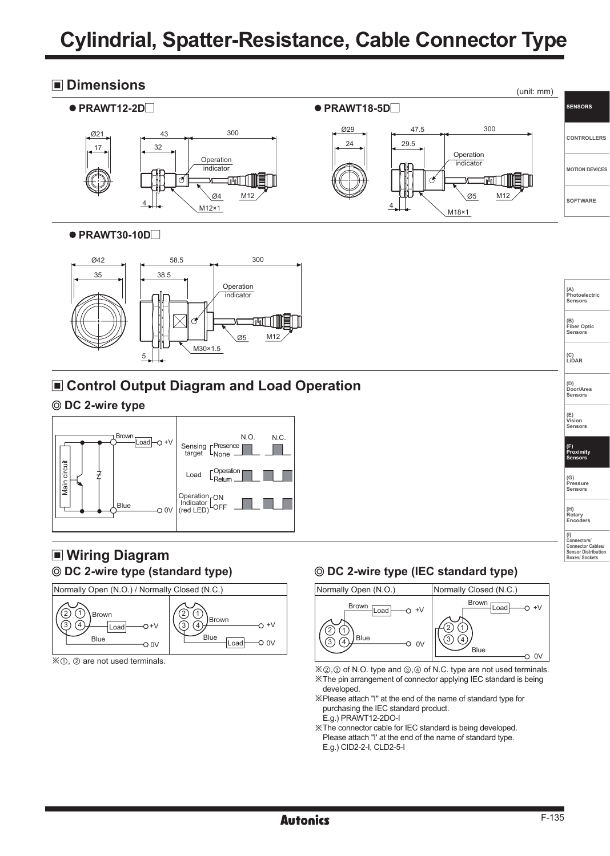## **Cylindrial, Spatter-Resistance, Cable Connector Type**

#### **Dimensions**



#### **PRAWT30-10D**



### **Control Output Diagram and Load Operation**

#### **DC 2-wire type**



# **Wiring Diagram**



※①, ② are not used terminals.

## **DC 2-wire type (standard type) DC 2-wire type (IEC standard type)**



※②,③ of N.O. type and ③,④ of N.C. type are not used terminals. ※The pin arrangement of connector applying IEC standard is being

- developed. ※Please attach "I" at the end of the name of standard type for
- purchasing the IEC standard product. E.g.) PRAWT12-2DO-I
- ※The connector cable for IEC standard is being developed. Please attach "I' at the end of the name of standard type. E.g.) CID2-2-I, CLD2-5-I

**(A) Photoelectric Sensors (B) Fiber Optic Sensors**

**(C) LiDAR** 

**(D) Door/Area Sensors**

**(E) Vision Sensors**

**(F) Proximity Sensors**

**(G) Pressure Sensors** 

**(H) Rotary Encoders (I) Connectors/ Connector Cables/ Sensor Distribution Boxes/ Sockets**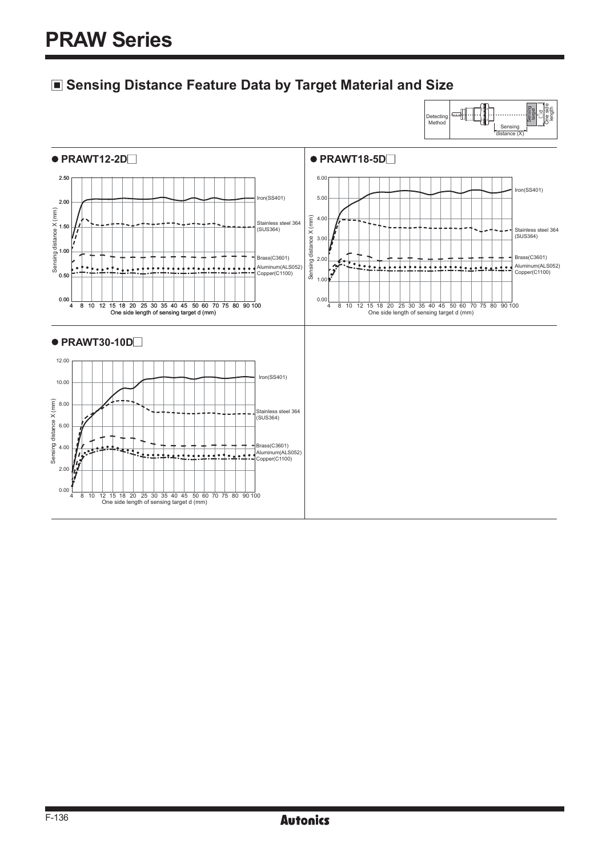## **Sensing Distance Feature Data by Target Material and Size**

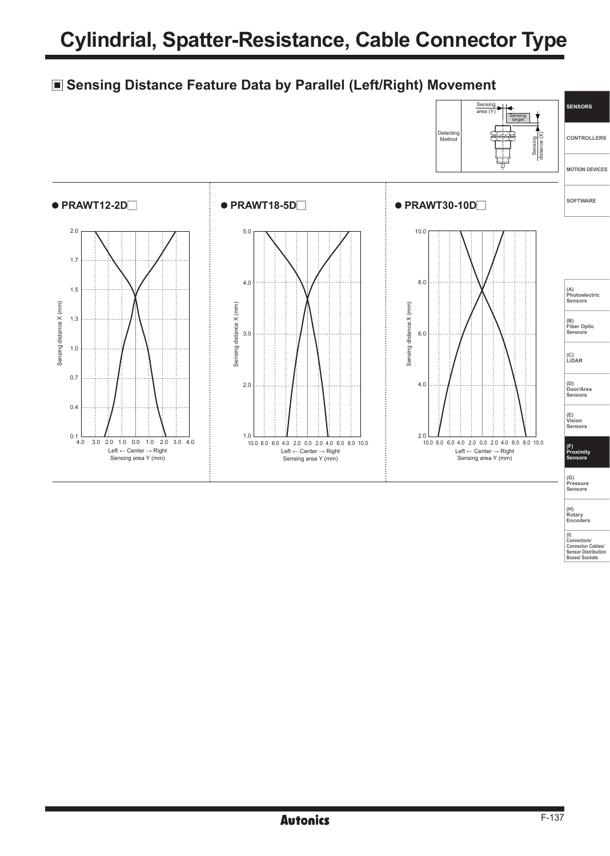## **Sensing Distance Feature Data by Parallel (Left/Right) Movement**



**(H) Rotary Encoders** 

**(I) Connectors/ Connector Cables/ Sensor Distribution Boxes/ Sockets**